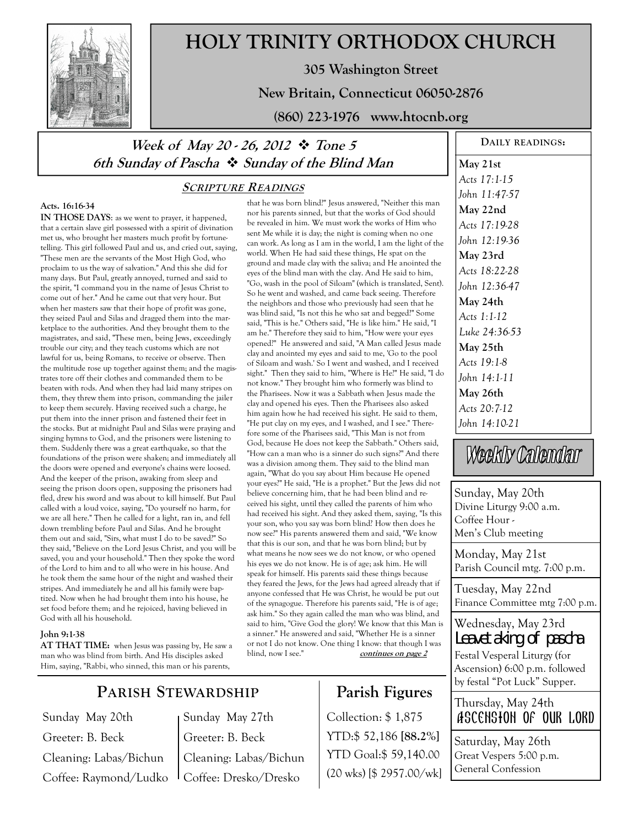

# **HOLY TRINITY ORTHODOX CHURCH**

**305 Washington Street** 

**New Britain, Connecticut 06050-2876** 

**(860) 223-1976 www.htocnb.org** 

# *Week of May 20 - 26, 2012 ❖ Tone 5* **6th Sunday of Pascha Sunday of the Blind Man**

### **SCRIPTURE READINGS**

## **Acts. 16:16-34**

**IN THOSE DAYS**: as we went to prayer, it happened, that a certain slave girl possessed with a spirit of divination met us, who brought her masters much profit by fortunetelling. This girl followed Paul and us, and cried out, saying, "These men are the servants of the Most High God, who proclaim to us the way of salvation." And this she did for many days. But Paul, greatly annoyed, turned and said to the spirit, "I command you in the name of Jesus Christ to come out of her." And he came out that very hour. But when her masters saw that their hope of profit was gone, they seized Paul and Silas and dragged them into the marketplace to the authorities. And they brought them to the magistrates, and said, "These men, being Jews, exceedingly trouble our city; and they teach customs which are not lawful for us, being Romans, to receive or observe. Then the multitude rose up together against them; and the magistrates tore off their clothes and commanded them to be beaten with rods. And when they had laid many stripes on them, they threw them into prison, commanding the jailer to keep them securely. Having received such a charge, he put them into the inner prison and fastened their feet in the stocks. But at midnight Paul and Silas were praying and singing hymns to God, and the prisoners were listening to them. Suddenly there was a great earthquake, so that the foundations of the prison were shaken; and immediately all the doors were opened and everyone's chains were loosed. And the keeper of the prison, awaking from sleep and seeing the prison doors open, supposing the prisoners had fled, drew his sword and was about to kill himself. But Paul called with a loud voice, saying, "Do yourself no harm, for we are all here." Then he called for a light, ran in, and fell down trembling before Paul and Silas. And he brought them out and said, "Sirs, what must I do to be saved?" So they said, "Believe on the Lord Jesus Christ, and you will be saved, you and your household." Then they spoke the word of the Lord to him and to all who were in his house. And he took them the same hour of the night and washed their stripes. And immediately he and all his family were baptized. Now when he had brought them into his house, he set food before them; and he rejoiced, having believed in God with all his household.

#### **John 9:1-38**

**AT THAT TIME:** when Jesus was passing by, He saw a man who was blind from birth. And His disciples asked Him, saying, "Rabbi, who sinned, this man or his parents,

# **PARISH STEWARDSHIP**

Sunday May 20th Greeter: B. Beck Cleaning: Labas/Bichun Coffee: Raymond/Ludko Sunday May 27th Greeter: B. Beck Cleaning: Labas/Bichun Coffee: Dresko/Dresko

that he was born blind?" Jesus answered, "Neither this man nor his parents sinned, but that the works of God should be revealed in him. We must work the works of Him who sent Me while it is day; the night is coming when no one can work. As long as I am in the world, I am the light of the world. When He had said these things, He spat on the ground and made clay with the saliva; and He anointed the eyes of the blind man with the clay. And He said to him, "Go, wash in the pool of Siloam" (which is translated, Sent). So he went and washed, and came back seeing. Therefore the neighbors and those who previously had seen that he was blind said, "Is not this he who sat and begged?" Some said, "This is he." Others said, "He is like him." He said, "I am he." Therefore they said to him, "How were your eyes opened?" He answered and said, "A Man called Jesus made clay and anointed my eyes and said to me, 'Go to the pool of Siloam and wash.' So I went and washed, and I received sight." Then they said to him, "Where is He?" He said, "I do not know." They brought him who formerly was blind to the Pharisees. Now it was a Sabbath when Jesus made the clay and opened his eyes. Then the Pharisees also asked him again how he had received his sight. He said to them, "He put clay on my eyes, and I washed, and I see." Therefore some of the Pharisees said, "This Man is not from God, because He does not keep the Sabbath." Others said, "How can a man who is a sinner do such signs?" And there was a division among them. They said to the blind man again, "What do you say about Him because He opened your eyes?" He said, "He is a prophet." But the Jews did not believe concerning him, that he had been blind and received his sight, until they called the parents of him who had received his sight. And they asked them, saying, "Is this your son, who you say was born blind? How then does he now see?" His parents answered them and said, "We know that this is our son, and that he was born blind; but by what means he now sees we do not know, or who opened his eyes we do not know. He is of age; ask him. He will speak for himself. His parents said these things because they feared the Jews, for the Jews had agreed already that if anyone confessed that He was Christ, he would be put out of the synagogue. Therefore his parents said, "He is of age; ask him." So they again called the man who was blind, and said to him, "Give God the glory! We know that this Man is a sinner." He answered and said, "Whether He is a sinner or not I do not know. One thing I know: that though I was blind, now I see." **continues on page 2** 

# **Parish Figures**

Collection: \$ 1,875 YTD:\$ 52,186 **[88.2%]** YTD Goal:\$ 59,140.00 (20 wks) [\$ 2957.00/wk]

**DAILY READINGS: May 21st**  *Acts 17:1-15 John 11:47-57*  **May 22nd**  *Acts 17:19-28 John 12:19-36*  **May 23rd**  *Acts 18:22-28 John 12:36-47*  **May 24th**  *Acts 1:1-12 Luke 24:36-53*  **May 25th**  *Acts 19:1-8 John 14:1-11*  **May 26th**  *Acts 20:7-12 John 14:10-21* 

Weekly Calendar

Sunday, May 20th Divine Liturgy 9:00 a.m. Coffee Hour - Men's Club meeting

Monday, May 21st Parish Council mtg. 7:00 p.m.

Tuesday, May 22nd Finance Committee mtg 7:00 p.m.

Wednesday, May 23rd Leavetaking of pascha

Festal Vesperal Liturgy (for Ascension) 6:00 p.m. followed by festal "Pot Luck" Supper.

Thursday, May 24th Ascension of our lord

Saturday, May 26th Great Vespers 5:00 p.m. General Confession